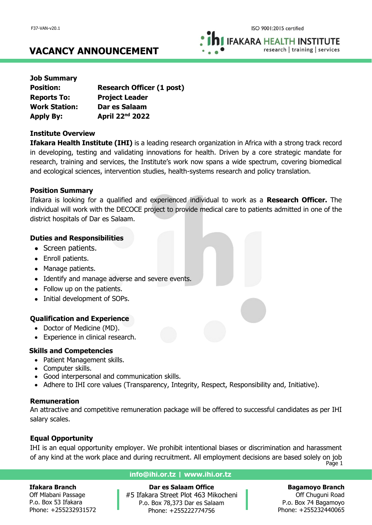**IFAKARA HEALTH INSTITUTE** research | training | services

# **VACANCY ANNOUNCEMENT**

| <b>Job Summary</b>   |                                  |
|----------------------|----------------------------------|
| <b>Position:</b>     | <b>Research Officer (1 post)</b> |
| <b>Reports To:</b>   | <b>Project Leader</b>            |
| <b>Work Station:</b> | Dar es Salaam                    |
| <b>Apply By:</b>     | April 22 <sup>nd</sup> 2022      |

## **Institute Overview**

**Ifakara Health Institute (IHI)** is a leading research organization in Africa with a strong track record in developing, testing and validating innovations for health. Driven by a core strategic mandate for research, training and services, the Institute's work now spans a wide spectrum, covering biomedical and ecological sciences, intervention studies, health-systems research and policy translation.

## **Position Summary**

Ifakara is looking for a qualified and experienced individual to work as a **Research Officer.** The individual will work with the DECOCE project to provide medical care to patients admitted in one of the district hospitals of Dar es Salaam.

## **Duties and Responsibilities**

- Screen patients.
- Enroll patients.
- Manage patients.
- Identify and manage adverse and severe events.
- Follow up on the patients.
- Initial development of SOPs.

## **Qualification and Experience**

- Doctor of Medicine (MD).
- Experience in clinical research.

## **Skills and Competencies**

- Patient Management skills.
- Computer skills.
- Good interpersonal and communication skills.
- Adhere to IHI core values (Transparency, Integrity, Respect, Responsibility and, Initiative).

## **Remuneration**

An attractive and competitive remuneration package will be offered to successful candidates as per IHI salary scales.

## **Equal Opportunity**

IHI is an equal opportunity employer. We prohibit intentional biases or discrimination and harassment of any kind at the work place and during recruitment. All employment decisions are based solely on job

Page 1

### **Ifakara Branch**

Off Mlabani Passage P.o. Box 53 Ifakara Phone: +255232931572

## **info@ihi.or.tz | www.ihi.or.tz**

**Dar es Salaam Office** #5 Ifakara Street Plot 463 Mikocheni P.o. Box 78,373 Dar es Salaam Phone: +255222774756

## **Bagamoyo Branch**

Off Chuguni Road P.o. Box 74 Bagamoyo Phone: +255232440065